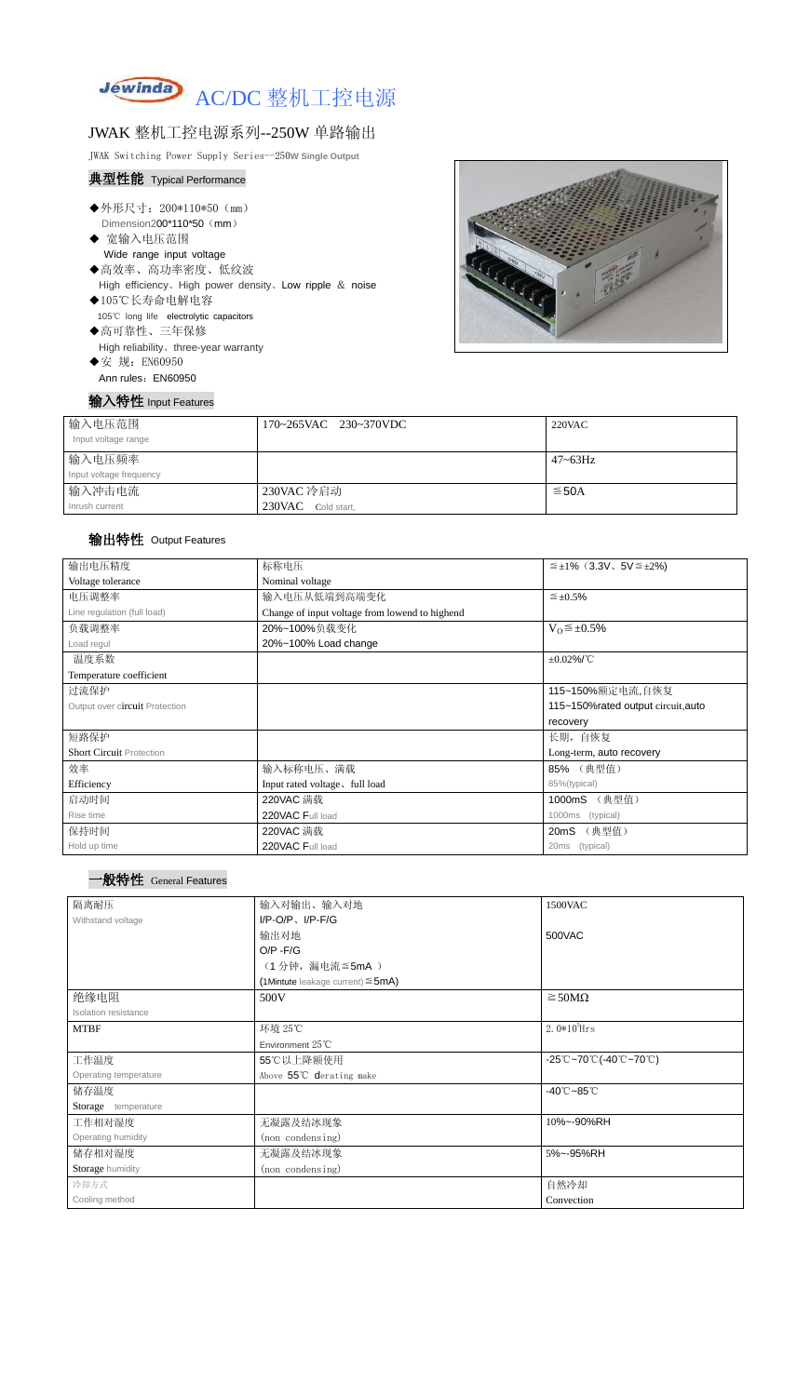

### JWAK 整机工控电源系列--250W 单路输出

JWAK Switching Power Supply Series--250**W Single Output**

#### 典型性能 Typical Performance

- ◆外形尺寸: 200\*110\*50 (mm) Dimension200\*110\*50 (mm)
- ◆ 宽输入电压范围 Wide range input voltage
- ◆高效率、高功率密度、低纹波 High efficiency、High power density、Low ripple & noise
- ◆105℃长寿命电解电容 105℃ long life electrolytic capacitors ◆高可靠性、三年保修

High reliability、three-year warranty

◆安 规: EN60950 Ann rules: EN60950

输入特性 Input Features



| 输入电压范围<br>Input voltage range | 170~265VAC 230~370VDC | $220$ VAC  |
|-------------------------------|-----------------------|------------|
| 输入电压频率                        |                       | 47~63Hz    |
| Input voltage frequency       |                       |            |
| 输入冲击电流                        | 230VAC 冷启动            | $\leq$ 50A |
| Inrush current                | 230VAC Cold start,    |            |

### 输出特性 Output Features





| 输出电压精度                          | 标称电压<br>$\leq \pm 1\%$ (3.3V, 5V $\leq \pm 2\%$ ) |                                    |  |  |
|---------------------------------|---------------------------------------------------|------------------------------------|--|--|
| Voltage tolerance               | Nominal voltage                                   |                                    |  |  |
| 电压调整率                           | 输入电压从低端到高端变化                                      | $\leq \pm 0.5\%$                   |  |  |
| Line regulation (full load)     | Change of input voltage from lowend to highend    |                                    |  |  |
| 负载调整率                           | 20%~100%负载变化                                      | $V_0 \leq \pm 0.5\%$               |  |  |
| Load regul                      | 20%~100% Load change                              |                                    |  |  |
| 温度系数                            |                                                   | $\pm 0.02\%$ /°C                   |  |  |
| Temperature coefficient         |                                                   |                                    |  |  |
| 过流保护                            |                                                   | 115~150%额定电流,自恢复                   |  |  |
| Output over circuit Protection  |                                                   | 115~150%rated output circuit, auto |  |  |
|                                 |                                                   | recovery                           |  |  |
| 短路保护                            |                                                   | 长期, 自恢复                            |  |  |
| <b>Short Circuit Protection</b> |                                                   | Long-term, auto recovery           |  |  |
| 效率                              | 输入标称电压、满载                                         | 85% (典型值)                          |  |  |
| Efficiency                      | Input rated voltage, full load                    | 85%(typical)                       |  |  |
| 启动时间                            | 220VAC 满载                                         | (典型值)<br>1000mS                    |  |  |
| Rise time                       | 220VAC Full load                                  | (typical)<br>1000ms                |  |  |
| 保持时间                            | 220VAC 满载                                         | (典型值)<br>20mS                      |  |  |
| Hold up time                    | 220VAC Full load                                  | (typical)<br>20ms                  |  |  |

| 隔离耐压                  | 输入对输出、输入对地                                | 1500VAC                                                                               |  |
|-----------------------|-------------------------------------------|---------------------------------------------------------------------------------------|--|
| Withstand voltage     | $I/P-O/P$ , $I/P-F/G$                     |                                                                                       |  |
|                       | 输出对地                                      | 500VAC                                                                                |  |
|                       | $O/P - F/G$                               |                                                                                       |  |
|                       | (1分钟,漏电流 ≦ 5mA)                           |                                                                                       |  |
|                       | $(1$ Mintute leakage current) $\leq$ 5mA) |                                                                                       |  |
| 绝缘电阻                  | 500V                                      | $\geq$ 50M $\Omega$                                                                   |  |
| Isolation resistance  |                                           |                                                                                       |  |
| <b>MTBF</b>           | 环境 25℃                                    | 2. $0*10^5$ Hrs                                                                       |  |
|                       | Environment $25^{\circ}$ C                |                                                                                       |  |
| 工作温度                  | 55℃以上降额使用                                 | $-25^{\circ}\text{C}-70^{\circ}\text{C}$ (-40 $^{\circ}\text{C}-70^{\circ}\text{C}$ ) |  |
| Operating temperature | Above 55°C derating make                  |                                                                                       |  |
| 储存温度                  | $-40^{\circ}$ C $-85^{\circ}$ C           |                                                                                       |  |
| Storage temperature   |                                           |                                                                                       |  |
| 工作相对湿度                | 无凝露及结冰现象                                  | 10%~-90%RH                                                                            |  |
| Operating humidity    | (non condensing)                          |                                                                                       |  |
| 储存相对湿度                | 无凝露及结冰现象                                  | 5%~-95%RH                                                                             |  |
| Storage humidity      | (non condensing)                          |                                                                                       |  |
| 冷却方式                  |                                           | 自然冷却                                                                                  |  |
| Cooling method        |                                           | Convection                                                                            |  |